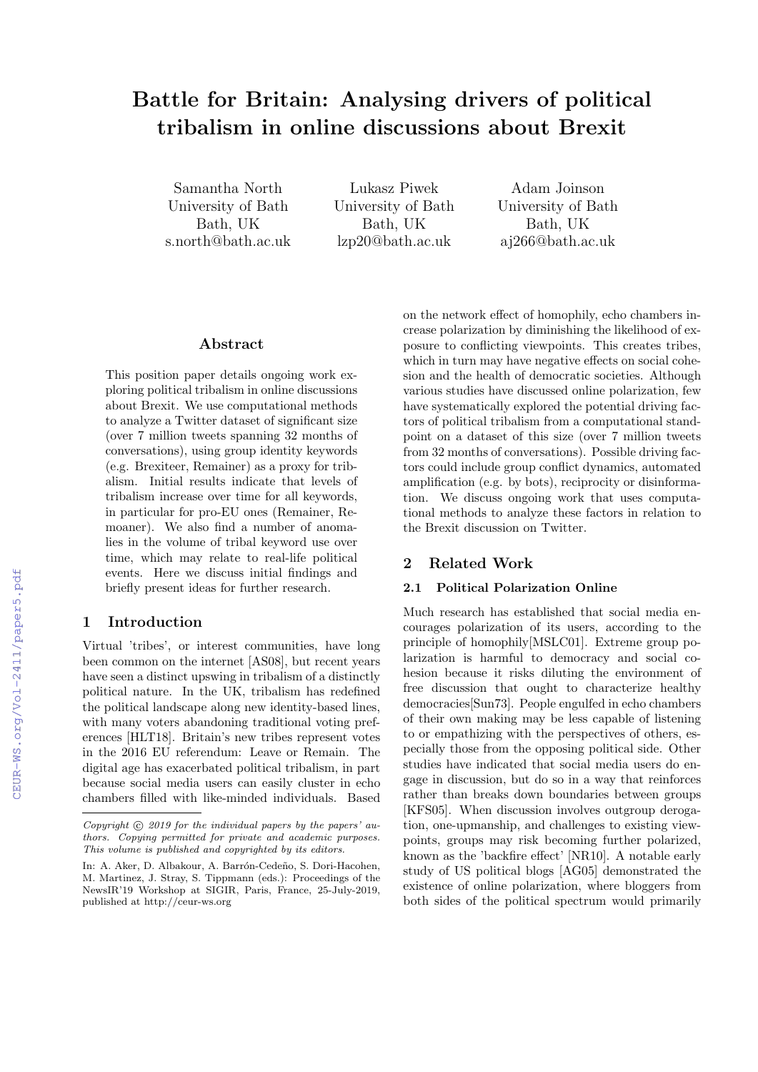# Battle for Britain: Analysing drivers of political tribalism in online discussions about Brexit

Samantha North University of Bath Bath, UK s.north@bath.ac.uk

Lukasz Piwek University of Bath Bath, UK lzp20@bath.ac.uk

Adam Joinson University of Bath Bath, UK aj266@bath.ac.uk

# Abstract

This position paper details ongoing work exploring political tribalism in online discussions about Brexit. We use computational methods to analyze a Twitter dataset of significant size (over 7 million tweets spanning 32 months of conversations), using group identity keywords (e.g. Brexiteer, Remainer) as a proxy for tribalism. Initial results indicate that levels of tribalism increase over time for all keywords, in particular for pro-EU ones (Remainer, Remoaner). We also find a number of anomalies in the volume of tribal keyword use over time, which may relate to real-life political events. Here we discuss initial findings and briefly present ideas for further research.

# 1 Introduction

Virtual 'tribes', or interest communities, have long been common on the internet [AS08], but recent years have seen a distinct upswing in tribalism of a distinctly political nature. In the UK, tribalism has redefined the political landscape along new identity-based lines, with many voters abandoning traditional voting preferences [HLT18]. Britain's new tribes represent votes in the 2016 EU referendum: Leave or Remain. The digital age has exacerbated political tribalism, in part because social media users can easily cluster in echo chambers filled with like-minded individuals. Based

on the network effect of homophily, echo chambers increase polarization by diminishing the likelihood of exposure to conflicting viewpoints. This creates tribes, which in turn may have negative effects on social cohesion and the health of democratic societies. Although various studies have discussed online polarization, few have systematically explored the potential driving factors of political tribalism from a computational standpoint on a dataset of this size (over 7 million tweets from 32 months of conversations). Possible driving factors could include group conflict dynamics, automated amplification (e.g. by bots), reciprocity or disinformation. We discuss ongoing work that uses computational methods to analyze these factors in relation to the Brexit discussion on Twitter.

# 2 Related Work

#### 2.1 Political Polarization Online

Much research has established that social media encourages polarization of its users, according to the principle of homophily[MSLC01]. Extreme group polarization is harmful to democracy and social cohesion because it risks diluting the environment of free discussion that ought to characterize healthy democracies[Sun73]. People engulfed in echo chambers of their own making may be less capable of listening to or empathizing with the perspectives of others, especially those from the opposing political side. Other studies have indicated that social media users do engage in discussion, but do so in a way that reinforces rather than breaks down boundaries between groups [KFS05]. When discussion involves outgroup derogation, one-upmanship, and challenges to existing viewpoints, groups may risk becoming further polarized, known as the 'backfire effect' [NR10]. A notable early study of US political blogs [AG05] demonstrated the existence of online polarization, where bloggers from both sides of the political spectrum would primarily

Copyright  $\odot$  2019 for the individual papers by the papers' authors. Copying permitted for private and academic purposes. This volume is published and copyrighted by its editors.

In: A. Aker, D. Albakour, A. Barrón-Cedeño, S. Dori-Hacohen, M. Martinez, J. Stray, S. Tippmann (eds.): Proceedings of the NewsIR'19 Workshop at SIGIR, Paris, France, 25-July-2019, published at http://ceur-ws.org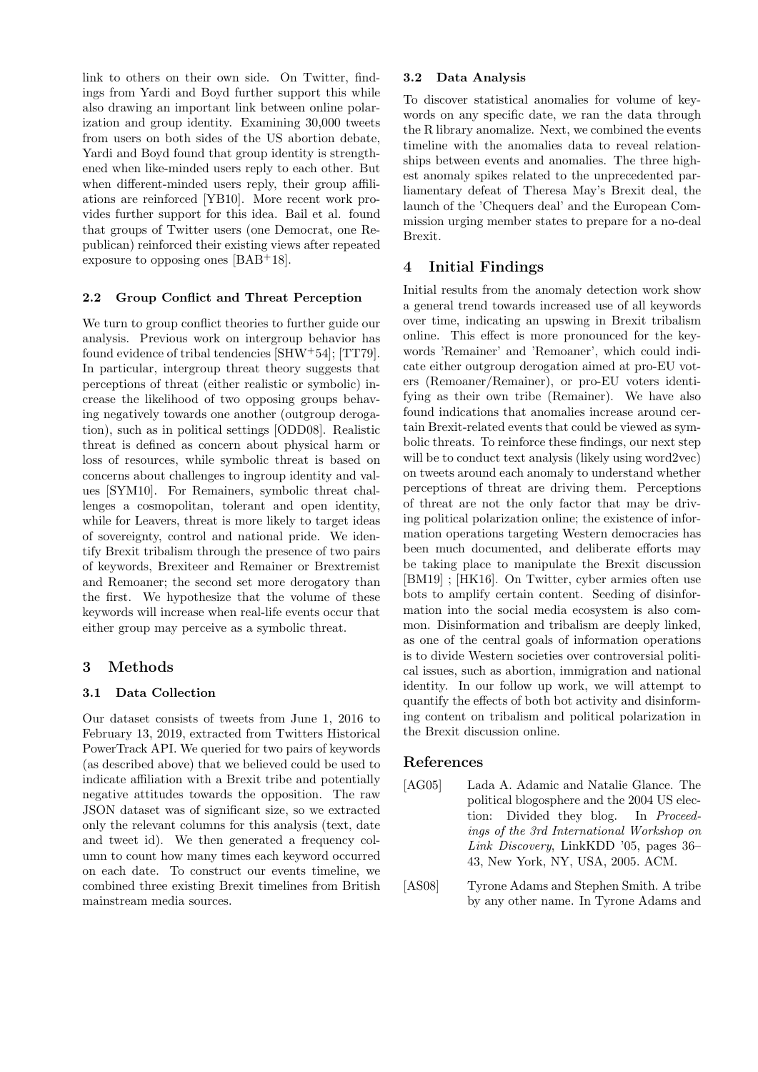link to others on their own side. On Twitter, findings from Yardi and Boyd further support this while also drawing an important link between online polarization and group identity. Examining 30,000 tweets from users on both sides of the US abortion debate, Yardi and Boyd found that group identity is strengthened when like-minded users reply to each other. But when different-minded users reply, their group affiliations are reinforced [YB10]. More recent work provides further support for this idea. Bail et al. found that groups of Twitter users (one Democrat, one Republican) reinforced their existing views after repeated exposure to opposing ones  $[BAB+18]$ .

## 2.2 Group Conflict and Threat Perception

We turn to group conflict theories to further guide our analysis. Previous work on intergroup behavior has found evidence of tribal tendencies [SHW+54]; [TT79]. In particular, intergroup threat theory suggests that perceptions of threat (either realistic or symbolic) increase the likelihood of two opposing groups behaving negatively towards one another (outgroup derogation), such as in political settings [ODD08]. Realistic threat is defined as concern about physical harm or loss of resources, while symbolic threat is based on concerns about challenges to ingroup identity and values [SYM10]. For Remainers, symbolic threat challenges a cosmopolitan, tolerant and open identity, while for Leavers, threat is more likely to target ideas of sovereignty, control and national pride. We identify Brexit tribalism through the presence of two pairs of keywords, Brexiteer and Remainer or Brextremist and Remoaner; the second set more derogatory than the first. We hypothesize that the volume of these keywords will increase when real-life events occur that either group may perceive as a symbolic threat.

## 3 Methods

## 3.1 Data Collection

Our dataset consists of tweets from June 1, 2016 to February 13, 2019, extracted from Twitters Historical PowerTrack API. We queried for two pairs of keywords (as described above) that we believed could be used to indicate affiliation with a Brexit tribe and potentially negative attitudes towards the opposition. The raw JSON dataset was of significant size, so we extracted only the relevant columns for this analysis (text, date and tweet id). We then generated a frequency column to count how many times each keyword occurred on each date. To construct our events timeline, we combined three existing Brexit timelines from British mainstream media sources.

#### 3.2 Data Analysis

To discover statistical anomalies for volume of keywords on any specific date, we ran the data through the R library anomalize. Next, we combined the events timeline with the anomalies data to reveal relationships between events and anomalies. The three highest anomaly spikes related to the unprecedented parliamentary defeat of Theresa May's Brexit deal, the launch of the 'Chequers deal' and the European Commission urging member states to prepare for a no-deal Brexit.

# 4 Initial Findings

Initial results from the anomaly detection work show a general trend towards increased use of all keywords over time, indicating an upswing in Brexit tribalism online. This effect is more pronounced for the keywords 'Remainer' and 'Remoaner', which could indicate either outgroup derogation aimed at pro-EU voters (Remoaner/Remainer), or pro-EU voters identifying as their own tribe (Remainer). We have also found indications that anomalies increase around certain Brexit-related events that could be viewed as symbolic threats. To reinforce these findings, our next step will be to conduct text analysis (likely using word2vec) on tweets around each anomaly to understand whether perceptions of threat are driving them. Perceptions of threat are not the only factor that may be driving political polarization online; the existence of information operations targeting Western democracies has been much documented, and deliberate efforts may be taking place to manipulate the Brexit discussion [BM19] ; [HK16]. On Twitter, cyber armies often use bots to amplify certain content. Seeding of disinformation into the social media ecosystem is also common. Disinformation and tribalism are deeply linked, as one of the central goals of information operations is to divide Western societies over controversial political issues, such as abortion, immigration and national identity. In our follow up work, we will attempt to quantify the effects of both bot activity and disinforming content on tribalism and political polarization in the Brexit discussion online.

## References

[AG05] Lada A. Adamic and Natalie Glance. The political blogosphere and the 2004 US election: Divided they blog. In Proceedings of the 3rd International Workshop on Link Discovery, LinkKDD '05, pages 36– 43, New York, NY, USA, 2005. ACM.

[AS08] Tyrone Adams and Stephen Smith. A tribe by any other name. In Tyrone Adams and